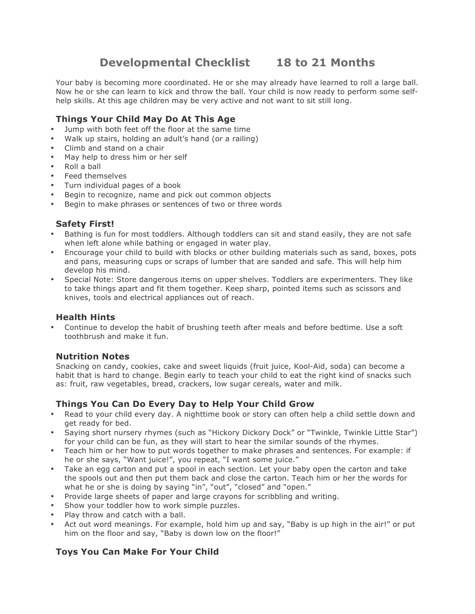# **Developmental Checklist 18 to 21 Months**

Your baby is becoming more coordinated. He or she may already have learned to roll a large ball. Now he or she can learn to kick and throw the ball. Your child is now ready to perform some selfhelp skills. At this age children may be very active and not want to sit still long.

### **Things Your Child May Do At This Age**

- Jump with both feet off the floor at the same time
- Walk up stairs, holding an adult's hand (or a railing)
- Climb and stand on a chair
- May help to dress him or her self
- Roll a ball
- Feed themselves
- Turn individual pages of a book
- Begin to recognize, name and pick out common objects
- Begin to make phrases or sentences of two or three words

# **Safety First!**

- Bathing is fun for most toddlers. Although toddlers can sit and stand easily, they are not safe when left alone while bathing or engaged in water play.
- Encourage your child to build with blocks or other building materials such as sand, boxes, pots and pans, measuring cups or scraps of lumber that are sanded and safe. This will help him develop his mind.
- Special Note: Store dangerous items on upper shelves. Toddlers are experimenters. They like to take things apart and fit them together. Keep sharp, pointed items such as scissors and knives, tools and electrical appliances out of reach.

#### **Health Hints**

• Continue to develop the habit of brushing teeth after meals and before bedtime. Use a soft toothbrush and make it fun.

#### **Nutrition Notes**

Snacking on candy, cookies, cake and sweet liquids (fruit juice, Kool-Aid, soda) can become a habit that is hard to change. Begin early to teach your child to eat the right kind of snacks such as: fruit, raw vegetables, bread, crackers, low sugar cereals, water and milk.

#### **Things You Can Do Every Day to Help Your Child Grow**

- Read to your child every day. A nighttime book or story can often help a child settle down and get ready for bed.
- Saying short nursery rhymes (such as "Hickory Dickory Dock" or "Twinkle, Twinkle Little Star") for your child can be fun, as they will start to hear the similar sounds of the rhymes.
- Teach him or her how to put words together to make phrases and sentences. For example: if he or she says, "Want juice!", you repeat, "I want some juice."
- Take an egg carton and put a spool in each section. Let your baby open the carton and take the spools out and then put them back and close the carton. Teach him or her the words for what he or she is doing by saying "in", "out", "closed" and "open."
- Provide large sheets of paper and large crayons for scribbling and writing.
- Show your toddler how to work simple puzzles.
- Play throw and catch with a ball.
- Act out word meanings. For example, hold him up and say, "Baby is up high in the air!" or put him on the floor and say, "Baby is down low on the floor!"

# **Toys You Can Make For Your Child**